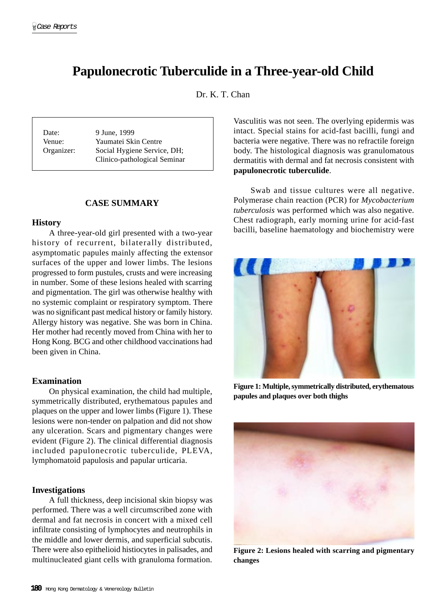# **Papulonecrotic Tuberculide in a Three-year-old Child**

Dr. K. T. Chan

Date: 9 June, 1999 Venue: Yaumatei Skin Centre Organizer: Social Hygiene Service, DH; Clinico-pathological Seminar

## **CASE SUMMARY**

## **History**

A three-year-old girl presented with a two-year history of recurrent, bilaterally distributed, asymptomatic papules mainly affecting the extensor surfaces of the upper and lower limbs. The lesions progressed to form pustules, crusts and were increasing in number. Some of these lesions healed with scarring and pigmentation. The girl was otherwise healthy with no systemic complaint or respiratory symptom. There was no significant past medical history or family history. Allergy history was negative. She was born in China. Her mother had recently moved from China with her to Hong Kong. BCG and other childhood vaccinations had been given in China.

## **Examination**

On physical examination, the child had multiple, symmetrically distributed, erythematous papules and plaques on the upper and lower limbs (Figure 1). These lesions were non-tender on palpation and did not show any ulceration. Scars and pigmentary changes were evident (Figure 2). The clinical differential diagnosis included papulonecrotic tuberculide, PLEVA, lymphomatoid papulosis and papular urticaria.

#### **Investigations**

A full thickness, deep incisional skin biopsy was performed. There was a well circumscribed zone with dermal and fat necrosis in concert with a mixed cell infiltrate consisting of lymphocytes and neutrophils in the middle and lower dermis, and superficial subcutis. There were also epithelioid histiocytes in palisades, and multinucleated giant cells with granuloma formation.

Vasculitis was not seen. The overlying epidermis was intact. Special stains for acid-fast bacilli, fungi and bacteria were negative. There was no refractile foreign body. The histological diagnosis was granulomatous dermatitis with dermal and fat necrosis consistent with **papulonecrotic tuberculide**.

Swab and tissue cultures were all negative. Polymerase chain reaction (PCR) for *Mycobacterium tuberculosis* was performed which was also negative. Chest radiograph, early morning urine for acid-fast bacilli, baseline haematology and biochemistry were



**Figure 1: Multiple, symmetrically distributed, erythematous papules and plaques over both thighs**



**Figure 2: Lesions healed with scarring and pigmentary changes**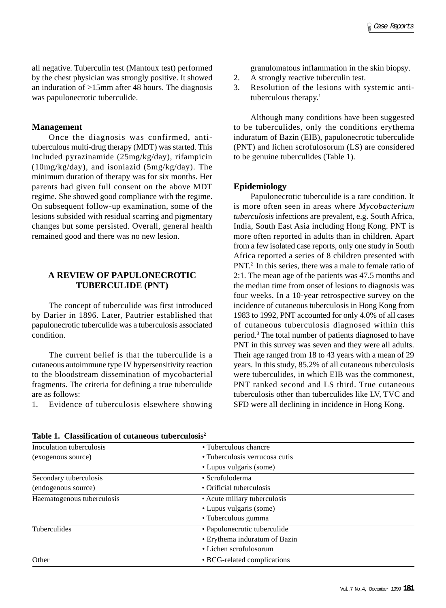all negative. Tuberculin test (Mantoux test) performed by the chest physician was strongly positive. It showed an induration of >15mm after 48 hours. The diagnosis was papulonecrotic tuberculide.

#### **Management**

Once the diagnosis was confirmed, antituberculous multi-drug therapy (MDT) was started. This included pyrazinamide (25mg/kg/day), rifampicin (10mg/kg/day), and isoniazid (5mg/kg/day). The minimum duration of therapy was for six months. Her parents had given full consent on the above MDT regime. She showed good compliance with the regime. On subsequent follow-up examination, some of the lesions subsided with residual scarring and pigmentary changes but some persisted. Overall, general health remained good and there was no new lesion.

# **A REVIEW OF PAPULONECROTIC TUBERCULIDE (PNT)**

The concept of tuberculide was first introduced by Darier in 1896. Later, Pautrier established that papulonecrotic tuberculide was a tuberculosis associated condition.

The current belief is that the tuberculide is a cutaneous autoimmune type IV hypersensitivity reaction to the bloodstream dissemination of mycobacterial fragments. The criteria for defining a true tuberculide are as follows:

1. Evidence of tuberculosis elsewhere showing

granulomatous inflammation in the skin biopsy.

- 2. A strongly reactive tuberculin test.
- 3. Resolution of the lesions with systemic antituberculous therapy. $1$

Although many conditions have been suggested to be tuberculides, only the conditions erythema induratum of Bazin (EIB), papulonecrotic tuberculide (PNT) and lichen scrofulosorum (LS) are considered to be genuine tuberculides (Table 1).

#### **Epidemiology**

Papulonecrotic tuberculide is a rare condition. It is more often seen in areas where *Mycobacterium tuberculosis* infections are prevalent, e.g. South Africa, India, South East Asia including Hong Kong. PNT is more often reported in adults than in children. Apart from a few isolated case reports, only one study in South Africa reported a series of 8 children presented with PNT.2 In this series, there was a male to female ratio of 2:1. The mean age of the patients was 47.5 months and the median time from onset of lesions to diagnosis was four weeks. In a 10-year retrospective survey on the incidence of cutaneous tuberculosis in Hong Kong from 1983 to 1992, PNT accounted for only 4.0% of all cases of cutaneous tuberculosis diagnosed within this period.3 The total number of patients diagnosed to have PNT in this survey was seven and they were all adults. Their age ranged from 18 to 43 years with a mean of 29 years. In this study, 85.2% of all cutaneous tuberculosis were tuberculides, in which EIB was the commonest, PNT ranked second and LS third. True cutaneous tuberculosis other than tuberculides like LV, TVC and SFD were all declining in incidence in Hong Kong.

| Inoculation tuberculosis   | • Tuberculous chancre          |  |
|----------------------------|--------------------------------|--|
| (exogenous source)         | • Tuberculosis verrucosa cutis |  |
|                            | • Lupus vulgaris (some)        |  |
| Secondary tuberculosis     | • Scrofuloderma                |  |
| (endogenous source)        | • Orificial tuberculosis       |  |
| Haematogenous tuberculosis | • Acute miliary tuberculosis   |  |
|                            | • Lupus vulgaris (some)        |  |
|                            | • Tuberculous gumma            |  |
| Tuberculides               | • Papulonecrotic tuberculide   |  |
|                            | • Erythema induratum of Bazin  |  |
|                            | • Lichen scrofulosorum         |  |
| Other                      | • BCG-related complications    |  |
|                            |                                |  |

**Table 1. Classification of cutaneous tuberculosis2**